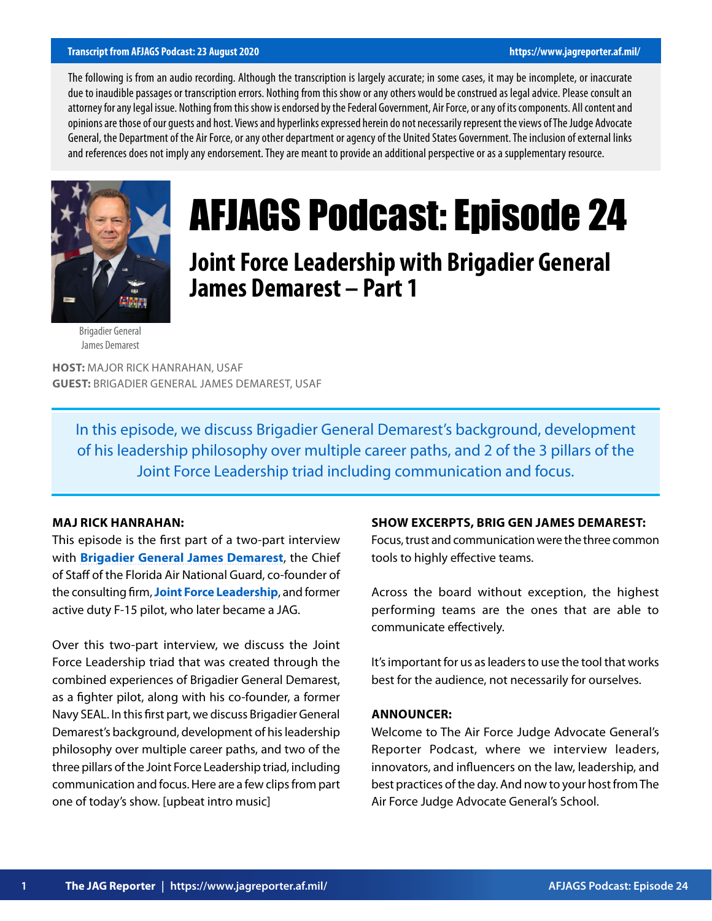#### **Transcript from AFJAGS Podcast: 23 August 2020 https://www.jagreporter.af.mil/**

The following is from an audio recording. Although the transcription is largely accurate; in some cases, it may be incomplete, or inaccurate due to inaudible passages or transcription errors. Nothing from this show or any others would be construed as legal advice. Please consult an attorney for any legal issue. Nothing from this show is endorsed by the Federal Government, Air Force, or any of its components. All content and opinions are those of our guests and host. Views and hyperlinks expressed herein do not necessarily represent the views of The Judge Advocate General, the Department of the Air Force, or any other department or agency of the United States Government. The inclusion of external links and references does not imply any endorsement. They are meant to provide an additional perspective or as a supplementary resource.



# AFJAGS Podcast: Episode 24

**Joint Force Leadership with Brigadier General James Demarest – Part 1**

Brigadier General James Demarest

**HOST:** MAJOR RICK HANRAHAN, USAF **GUEST:** BRIGADIER GENERAL JAMES DEMAREST, USAF

In this episode, we discuss Brigadier General Demarest's background, development of his leadership philosophy over multiple career paths, and 2 of the 3 pillars of the Joint Force Leadership triad including communication and focus.

#### **MAJ RICK HANRAHAN:**

This episode is the first part of a two-part interview with **[Brigadier General James Demarest](https://www.nationalguard.mil/portals/31/Features/ngbgomo/bio/3/3661.html)**, the Chief of Staff of the Florida Air National Guard, co-founder of the consulting firm, **[Joint Force Leadership](https://www.jointforceleadership.com/)**, and former active duty F-15 pilot, who later became a JAG.

Over this two-part interview, we discuss the Joint Force Leadership triad that was created through the combined experiences of Brigadier General Demarest, as a fighter pilot, along with his co-founder, a former Navy SEAL. In this first part, we discuss Brigadier General Demarest's background, development of his leadership philosophy over multiple career paths, and two of the three pillars of the Joint Force Leadership triad, including communication and focus. Here are a few clips from part one of today's show. [upbeat intro music]

#### **SHOW EXCERPTS, BRIG GEN JAMES DEMAREST:**

Focus, trust and communication were the three common tools to highly effective teams.

Across the board without exception, the highest performing teams are the ones that are able to communicate effectively.

It's important for us as leaders to use the tool that works best for the audience, not necessarily for ourselves.

#### **ANNOUNCER:**

Welcome to The Air Force Judge Advocate General's Reporter Podcast, where we interview leaders, innovators, and influencers on the law, leadership, and best practices of the day. And now to your host from The Air Force Judge Advocate General's School.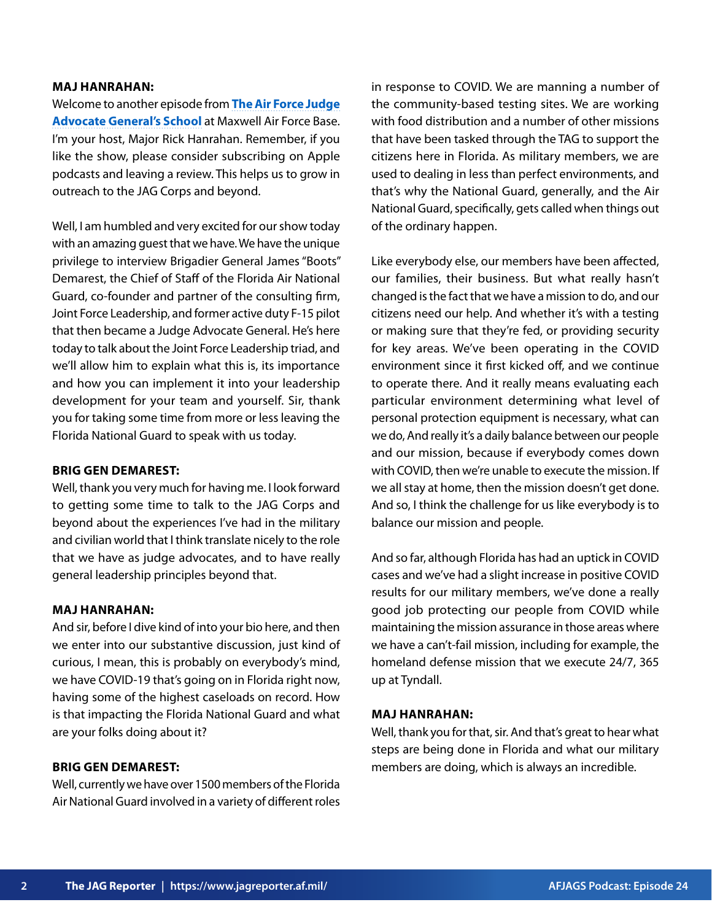#### **MAJ HANRAHAN:**

Welcome to another episode from **[The Air Force Judge](https://www.afjag.af.mil/JAG-School/) [Advocate General's School](https://www.afjag.af.mil/JAG-School/)** at Maxwell Air Force Base. I'm your host, Major Rick Hanrahan. Remember, if you like the show, please consider subscribing on Apple podcasts and leaving a review. This helps us to grow in outreach to the JAG Corps and beyond.

Well, I am humbled and very excited for our show today with an amazing guest that we have. We have the unique privilege to interview Brigadier General James "Boots" Demarest, the Chief of Staff of the Florida Air National Guard, co-founder and partner of the consulting firm, Joint Force Leadership, and former active duty F-15 pilot that then became a Judge Advocate General. He's here today to talk about the Joint Force Leadership triad, and we'll allow him to explain what this is, its importance and how you can implement it into your leadership development for your team and yourself. Sir, thank you for taking some time from more or less leaving the Florida National Guard to speak with us today.

#### **BRIG GEN DEMAREST:**

Well, thank you very much for having me. I look forward to getting some time to talk to the JAG Corps and beyond about the experiences I've had in the military and civilian world that I think translate nicely to the role that we have as judge advocates, and to have really general leadership principles beyond that.

#### **MAJ HANRAHAN:**

And sir, before I dive kind of into your bio here, and then we enter into our substantive discussion, just kind of curious, I mean, this is probably on everybody's mind, we have COVID-19 that's going on in Florida right now, having some of the highest caseloads on record. How is that impacting the Florida National Guard and what are your folks doing about it?

## **BRIG GEN DEMAREST:**

Well, currently we have over 1500 members of the Florida Air National Guard involved in a variety of different roles in response to COVID. We are manning a number of the community-based testing sites. We are working with food distribution and a number of other missions that have been tasked through the TAG to support the citizens here in Florida. As military members, we are used to dealing in less than perfect environments, and that's why the National Guard, generally, and the Air National Guard, specifically, gets called when things out of the ordinary happen.

Like everybody else, our members have been affected, our families, their business. But what really hasn't changed is the fact that we have a mission to do, and our citizens need our help. And whether it's with a testing or making sure that they're fed, or providing security for key areas. We've been operating in the COVID environment since it first kicked off, and we continue to operate there. And it really means evaluating each particular environment determining what level of personal protection equipment is necessary, what can we do, And really it's a daily balance between our people and our mission, because if everybody comes down with COVID, then we're unable to execute the mission. If we all stay at home, then the mission doesn't get done. And so, I think the challenge for us like everybody is to balance our mission and people.

And so far, although Florida has had an uptick in COVID cases and we've had a slight increase in positive COVID results for our military members, we've done a really good job protecting our people from COVID while maintaining the mission assurance in those areas where we have a can't-fail mission, including for example, the homeland defense mission that we execute 24/7, 365 up at Tyndall.

#### **MAJ HANRAHAN:**

Well, thank you for that, sir. And that's great to hear what steps are being done in Florida and what our military members are doing, which is always an incredible.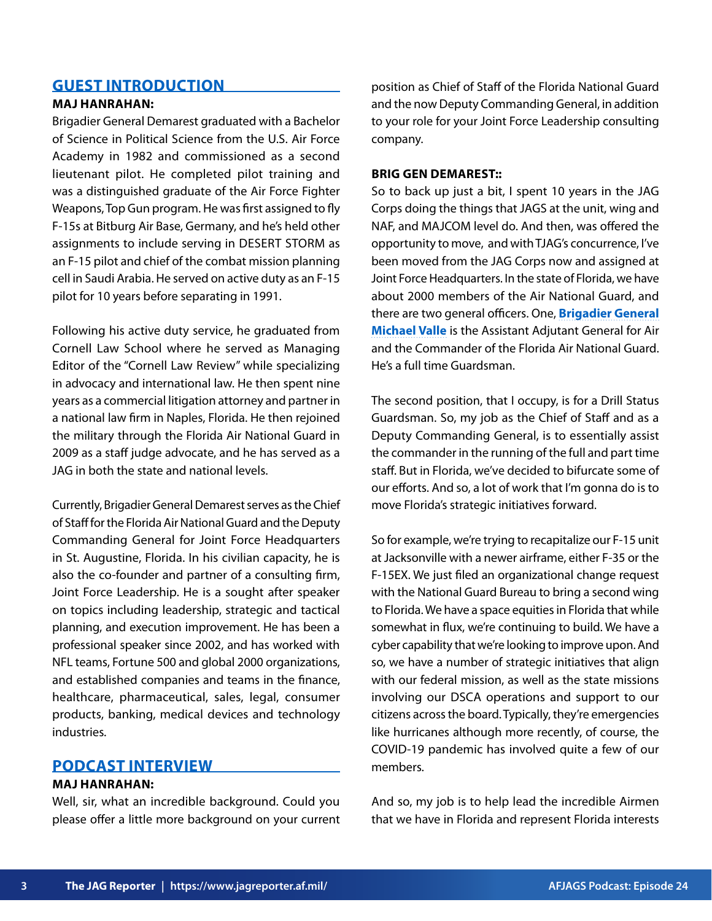# **GUEST INTRODUCTION**

## **MAJ HANRAHAN:**

Brigadier General Demarest graduated with a Bachelor of Science in Political Science from the U.S. Air Force Academy in 1982 and commissioned as a second lieutenant pilot. He completed pilot training and was a distinguished graduate of the Air Force Fighter Weapons, Top Gun program. He was first assigned to fly F-15s at Bitburg Air Base, Germany, and he's held other assignments to include serving in DESERT STORM as an F-15 pilot and chief of the combat mission planning cell in Saudi Arabia. He served on active duty as an F-15 pilot for 10 years before separating in 1991.

Following his active duty service, he graduated from Cornell Law School where he served as Managing Editor of the "Cornell Law Review" while specializing in advocacy and international law. He then spent nine years as a commercial litigation attorney and partner in a national law firm in Naples, Florida. He then rejoined the military through the Florida Air National Guard in 2009 as a staff judge advocate, and he has served as a JAG in both the state and national levels.

Currently, Brigadier General Demarest serves as the Chief of Staff for the Florida Air National Guard and the Deputy Commanding General for Joint Force Headquarters in St. Augustine, Florida. In his civilian capacity, he is also the co-founder and partner of a consulting firm, Joint Force Leadership. He is a sought after speaker on topics including leadership, strategic and tactical planning, and execution improvement. He has been a professional speaker since 2002, and has worked with NFL teams, Fortune 500 and global 2000 organizations, and established companies and teams in the finance, healthcare, pharmaceutical, sales, legal, consumer products, banking, medical devices and technology industries.

## **PODCAST INTERVIEW**

#### **MAJ HANRAHAN:**

Well, sir, what an incredible background. Could you please offer a little more background on your current

position as Chief of Staff of the Florida National Guard and the now Deputy Commanding General, in addition to your role for your Joint Force Leadership consulting company.

## **BRIG GEN DEMAREST::**

So to back up just a bit, I spent 10 years in the JAG Corps doing the things that JAGS at the unit, wing and NAF, and MAJCOM level do. And then, was offered the opportunity to move, and with TJAG's concurrence, I've been moved from the JAG Corps now and assigned at Joint Force Headquarters. In the state of Florida, we have about 2000 members of the Air National Guard, and there are two general officers. One, **[Brigadier General](https://www.125fw.ang.af.mil/About-Us/Biographies/Display/Article/2282888/brig-gen-michael-valle/) [Michael Valle](https://www.125fw.ang.af.mil/About-Us/Biographies/Display/Article/2282888/brig-gen-michael-valle/)** is the Assistant Adjutant General for Air and the Commander of the Florida Air National Guard. He's a full time Guardsman.

The second position, that I occupy, is for a Drill Status Guardsman. So, my job as the Chief of Staff and as a Deputy Commanding General, is to essentially assist the commander in the running of the full and part time staff. But in Florida, we've decided to bifurcate some of our efforts. And so, a lot of work that I'm gonna do is to move Florida's strategic initiatives forward.

So for example, we're trying to recapitalize our F-15 unit at Jacksonville with a newer airframe, either F-35 or the F-15EX. We just filed an organizational change request with the National Guard Bureau to bring a second wing to Florida. We have a space equities in Florida that while somewhat in flux, we're continuing to build. We have a cyber capability that we're looking to improve upon. And so, we have a number of strategic initiatives that align with our federal mission, as well as the state missions involving our DSCA operations and support to our citizens across the board. Typically, they're emergencies like hurricanes although more recently, of course, the COVID-19 pandemic has involved quite a few of our members.

And so, my job is to help lead the incredible Airmen that we have in Florida and represent Florida interests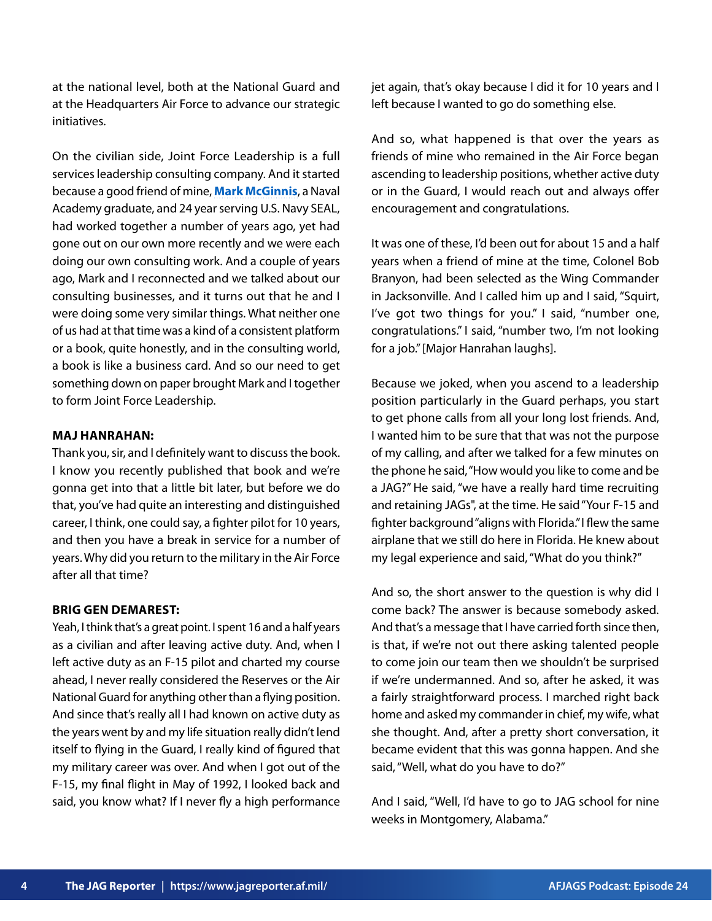at the national level, both at the National Guard and at the Headquarters Air Force to advance our strategic initiatives.

On the civilian side, Joint Force Leadership is a full services leadership consulting company. And it started because a good friend of mine, **[Mark McGinnis](https://www.jointforceleadership.com/about#team)**, a Naval Academy graduate, and 24 year serving U.S. Navy SEAL, had worked together a number of years ago, yet had gone out on our own more recently and we were each doing our own consulting work. And a couple of years ago, Mark and I reconnected and we talked about our consulting businesses, and it turns out that he and I were doing some very similar things. What neither one of us had at that time was a kind of a consistent platform or a book, quite honestly, and in the consulting world, a book is like a business card. And so our need to get something down on paper brought Mark and I together to form Joint Force Leadership.

## **MAJ HANRAHAN:**

Thank you, sir, and I definitely want to discuss the book. I know you recently published that book and we're gonna get into that a little bit later, but before we do that, you've had quite an interesting and distinguished career, I think, one could say, a fighter pilot for 10 years, and then you have a break in service for a number of years. Why did you return to the military in the Air Force after all that time?

## **BRIG GEN DEMAREST:**

Yeah, I think that's a great point. I spent 16 and a half years as a civilian and after leaving active duty. And, when I left active duty as an F-15 pilot and charted my course ahead, I never really considered the Reserves or the Air National Guard for anything other than a flying position. And since that's really all I had known on active duty as the years went by and my life situation really didn't lend itself to flying in the Guard, I really kind of figured that my military career was over. And when I got out of the F-15, my final flight in May of 1992, I looked back and said, you know what? If I never fly a high performance jet again, that's okay because I did it for 10 years and I left because I wanted to go do something else.

And so, what happened is that over the years as friends of mine who remained in the Air Force began ascending to leadership positions, whether active duty or in the Guard, I would reach out and always offer encouragement and congratulations.

It was one of these, I'd been out for about 15 and a half years when a friend of mine at the time, Colonel Bob Branyon, had been selected as the Wing Commander in Jacksonville. And I called him up and I said, "Squirt, I've got two things for you." I said, "number one, congratulations." I said, "number two, I'm not looking for a job." [Major Hanrahan laughs].

Because we joked, when you ascend to a leadership position particularly in the Guard perhaps, you start to get phone calls from all your long lost friends. And, I wanted him to be sure that that was not the purpose of my calling, and after we talked for a few minutes on the phone he said, "How would you like to come and be a JAG?" He said, "we have a really hard time recruiting and retaining JAGs", at the time. He said "Your F-15 and fighter background "aligns with Florida." I flew the same airplane that we still do here in Florida. He knew about my legal experience and said, "What do you think?"

And so, the short answer to the question is why did I come back? The answer is because somebody asked. And that's a message that I have carried forth since then, is that, if we're not out there asking talented people to come join our team then we shouldn't be surprised if we're undermanned. And so, after he asked, it was a fairly straightforward process. I marched right back home and asked my commander in chief, my wife, what she thought. And, after a pretty short conversation, it became evident that this was gonna happen. And she said, "Well, what do you have to do?"

And I said, "Well, I'd have to go to JAG school for nine weeks in Montgomery, Alabama."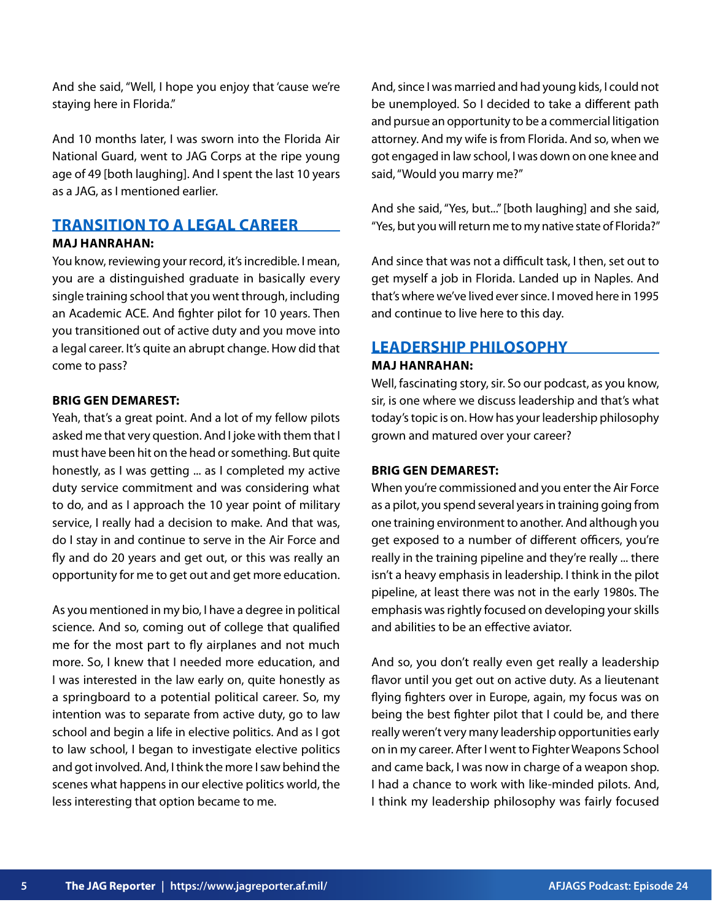And she said, "Well, I hope you enjoy that 'cause we're staying here in Florida."

And 10 months later, I was sworn into the Florida Air National Guard, went to JAG Corps at the ripe young age of 49 [both laughing]. And I spent the last 10 years as a JAG, as I mentioned earlier.

# **TRANSITION TO A LEGAL CAREER**

## **MAJ HANRAHAN:**

You know, reviewing your record, it's incredible. I mean, you are a distinguished graduate in basically every single training school that you went through, including an Academic ACE. And fighter pilot for 10 years. Then you transitioned out of active duty and you move into a legal career. It's quite an abrupt change. How did that come to pass?

## **BRIG GEN DEMAREST:**

Yeah, that's a great point. And a lot of my fellow pilots asked me that very question. And I joke with them that I must have been hit on the head or something. But quite honestly, as I was getting ... as I completed my active duty service commitment and was considering what to do, and as I approach the 10 year point of military service, I really had a decision to make. And that was, do I stay in and continue to serve in the Air Force and fly and do 20 years and get out, or this was really an opportunity for me to get out and get more education.

As you mentioned in my bio, I have a degree in political science. And so, coming out of college that qualified me for the most part to fly airplanes and not much more. So, I knew that I needed more education, and I was interested in the law early on, quite honestly as a springboard to a potential political career. So, my intention was to separate from active duty, go to law school and begin a life in elective politics. And as I got to law school, I began to investigate elective politics and got involved. And, I think the more I saw behind the scenes what happens in our elective politics world, the less interesting that option became to me.

And, since I was married and had young kids, I could not be unemployed. So I decided to take a different path and pursue an opportunity to be a commercial litigation attorney. And my wife is from Florida. And so, when we got engaged in law school, I was down on one knee and said, "Would you marry me?"

And she said, "Yes, but..." [both laughing] and she said, "Yes, but you will return me to my native state of Florida?"

And since that was not a difficult task, I then, set out to get myself a job in Florida. Landed up in Naples. And that's where we've lived ever since. I moved here in 1995 and continue to live here to this day.

# **LEADERSHIP PHILOSOPHY**

## **MAJ HANRAHAN:**

Well, fascinating story, sir. So our podcast, as you know, sir, is one where we discuss leadership and that's what today's topic is on. How has your leadership philosophy grown and matured over your career?

## **BRIG GEN DEMAREST:**

When you're commissioned and you enter the Air Force as a pilot, you spend several years in training going from one training environment to another. And although you get exposed to a number of different officers, you're really in the training pipeline and they're really ... there isn't a heavy emphasis in leadership. I think in the pilot pipeline, at least there was not in the early 1980s. The emphasis was rightly focused on developing your skills and abilities to be an effective aviator.

And so, you don't really even get really a leadership flavor until you get out on active duty. As a lieutenant flying fighters over in Europe, again, my focus was on being the best fighter pilot that I could be, and there really weren't very many leadership opportunities early on in my career. After I went to Fighter Weapons School and came back, I was now in charge of a weapon shop. I had a chance to work with like-minded pilots. And, I think my leadership philosophy was fairly focused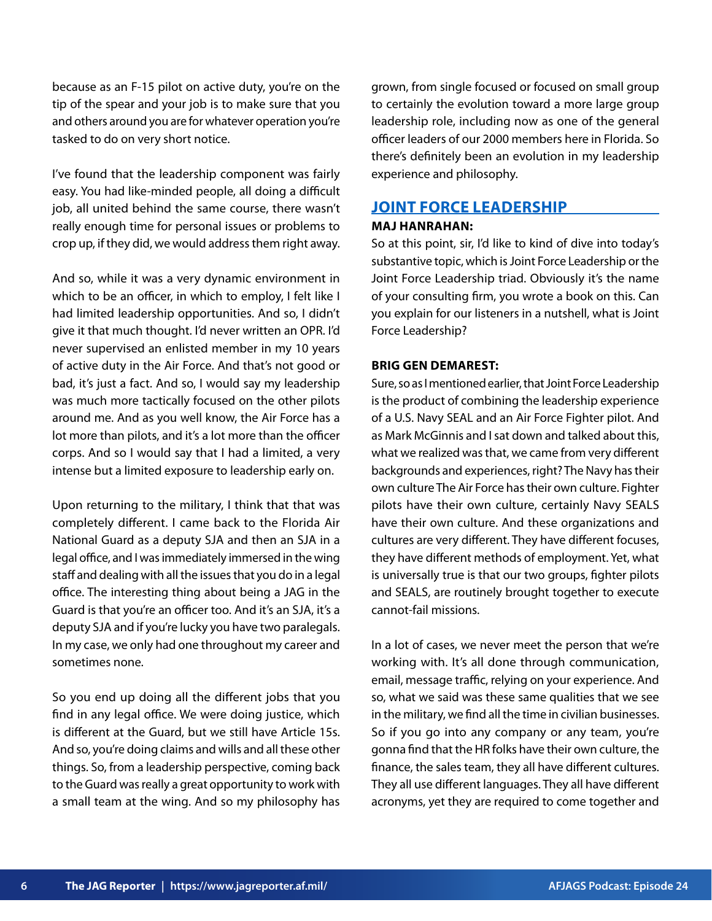because as an F-15 pilot on active duty, you're on the tip of the spear and your job is to make sure that you and others around you are for whatever operation you're tasked to do on very short notice.

I've found that the leadership component was fairly easy. You had like-minded people, all doing a difficult job, all united behind the same course, there wasn't really enough time for personal issues or problems to crop up, if they did, we would address them right away.

And so, while it was a very dynamic environment in which to be an officer, in which to employ, I felt like I had limited leadership opportunities. And so, I didn't give it that much thought. I'd never written an OPR. I'd never supervised an enlisted member in my 10 years of active duty in the Air Force. And that's not good or bad, it's just a fact. And so, I would say my leadership was much more tactically focused on the other pilots around me. And as you well know, the Air Force has a lot more than pilots, and it's a lot more than the officer corps. And so I would say that I had a limited, a very intense but a limited exposure to leadership early on.

Upon returning to the military, I think that that was completely different. I came back to the Florida Air National Guard as a deputy SJA and then an SJA in a legal office, and I was immediately immersed in the wing staff and dealing with all the issues that you do in a legal office. The interesting thing about being a JAG in the Guard is that you're an officer too. And it's an SJA, it's a deputy SJA and if you're lucky you have two paralegals. In my case, we only had one throughout my career and sometimes none.

So you end up doing all the different jobs that you find in any legal office. We were doing justice, which is different at the Guard, but we still have Article 15s. And so, you're doing claims and wills and all these other things. So, from a leadership perspective, coming back to the Guard was really a great opportunity to work with a small team at the wing. And so my philosophy has grown, from single focused or focused on small group to certainly the evolution toward a more large group leadership role, including now as one of the general officer leaders of our 2000 members here in Florida. So there's definitely been an evolution in my leadership experience and philosophy.

## **JOINT FORCE LEADERSHIP**

## **MAJ HANRAHAN:**

So at this point, sir, I'd like to kind of dive into today's substantive topic, which is Joint Force Leadership or the Joint Force Leadership triad. Obviously it's the name of your consulting firm, you wrote a book on this. Can you explain for our listeners in a nutshell, what is Joint Force Leadership?

## **BRIG GEN DEMAREST:**

Sure, so as I mentioned earlier, that Joint Force Leadership is the product of combining the leadership experience of a U.S. Navy SEAL and an Air Force Fighter pilot. And as Mark McGinnis and I sat down and talked about this, what we realized was that, we came from very different backgrounds and experiences, right? The Navy has their own culture The Air Force has their own culture. Fighter pilots have their own culture, certainly Navy SEALS have their own culture. And these organizations and cultures are very different. They have different focuses, they have different methods of employment. Yet, what is universally true is that our two groups, fighter pilots and SEALS, are routinely brought together to execute cannot-fail missions.

In a lot of cases, we never meet the person that we're working with. It's all done through communication, email, message traffic, relying on your experience. And so, what we said was these same qualities that we see in the military, we find all the time in civilian businesses. So if you go into any company or any team, you're gonna find that the HR folks have their own culture, the finance, the sales team, they all have different cultures. They all use different languages. They all have different acronyms, yet they are required to come together and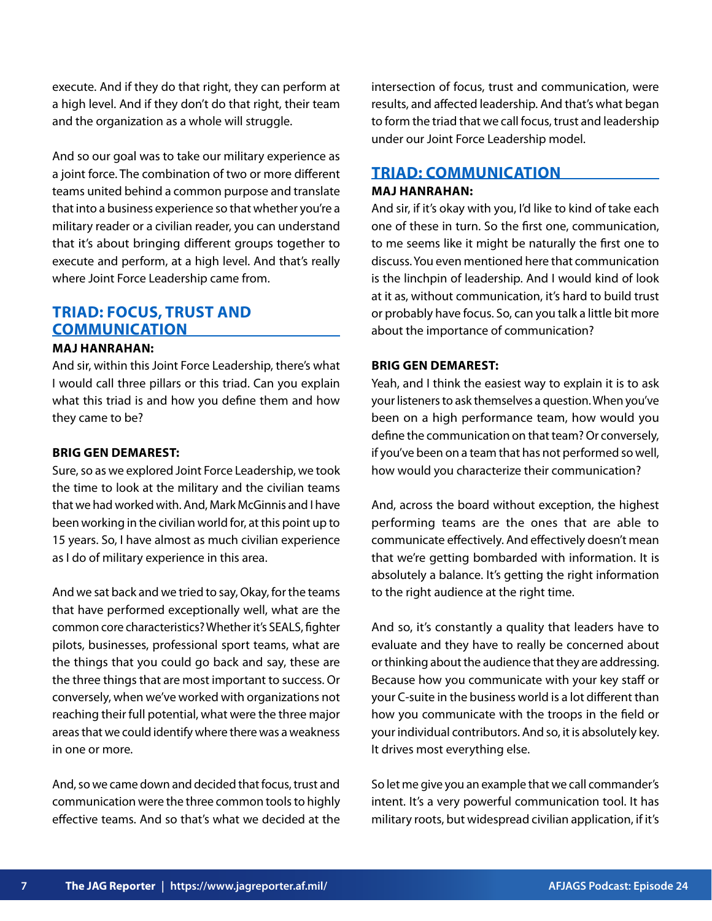execute. And if they do that right, they can perform at a high level. And if they don't do that right, their team and the organization as a whole will struggle.

And so our goal was to take our military experience as a joint force. The combination of two or more different teams united behind a common purpose and translate that into a business experience so that whether you're a military reader or a civilian reader, you can understand that it's about bringing different groups together to execute and perform, at a high level. And that's really where Joint Force Leadership came from.

# **TRIAD: FOCUS, TRUST AND COMMUNICATION**

## **MAJ HANRAHAN:**

And sir, within this Joint Force Leadership, there's what I would call three pillars or this triad. Can you explain what this triad is and how you define them and how they came to be?

## **BRIG GEN DEMAREST:**

Sure, so as we explored Joint Force Leadership, we took the time to look at the military and the civilian teams that we had worked with. And, Mark McGinnis and I have been working in the civilian world for, at this point up to 15 years. So, I have almost as much civilian experience as I do of military experience in this area.

And we sat back and we tried to say, Okay, for the teams that have performed exceptionally well, what are the common core characteristics? Whether it's SEALS, fighter pilots, businesses, professional sport teams, what are the things that you could go back and say, these are the three things that are most important to success. Or conversely, when we've worked with organizations not reaching their full potential, what were the three major areas that we could identify where there was a weakness in one or more.

And, so we came down and decided that focus, trust and communication were the three common tools to highly effective teams. And so that's what we decided at the

intersection of focus, trust and communication, were results, and affected leadership. And that's what began to form the triad that we call focus, trust and leadership under our Joint Force Leadership model.

## **TRIAD: COMMUNICATION**

## **MAJ HANRAHAN:**

And sir, if it's okay with you, I'd like to kind of take each one of these in turn. So the first one, communication, to me seems like it might be naturally the first one to discuss. You even mentioned here that communication is the linchpin of leadership. And I would kind of look at it as, without communication, it's hard to build trust or probably have focus. So, can you talk a little bit more about the importance of communication?

## **BRIG GEN DEMAREST:**

Yeah, and I think the easiest way to explain it is to ask your listeners to ask themselves a question. When you've been on a high performance team, how would you define the communication on that team? Or conversely, if you've been on a team that has not performed so well, how would you characterize their communication?

And, across the board without exception, the highest performing teams are the ones that are able to communicate effectively. And effectively doesn't mean that we're getting bombarded with information. It is absolutely a balance. It's getting the right information to the right audience at the right time.

And so, it's constantly a quality that leaders have to evaluate and they have to really be concerned about or thinking about the audience that they are addressing. Because how you communicate with your key staff or your C-suite in the business world is a lot different than how you communicate with the troops in the field or your individual contributors. And so, it is absolutely key. It drives most everything else.

So let me give you an example that we call commander's intent. It's a very powerful communication tool. It has military roots, but widespread civilian application, if it's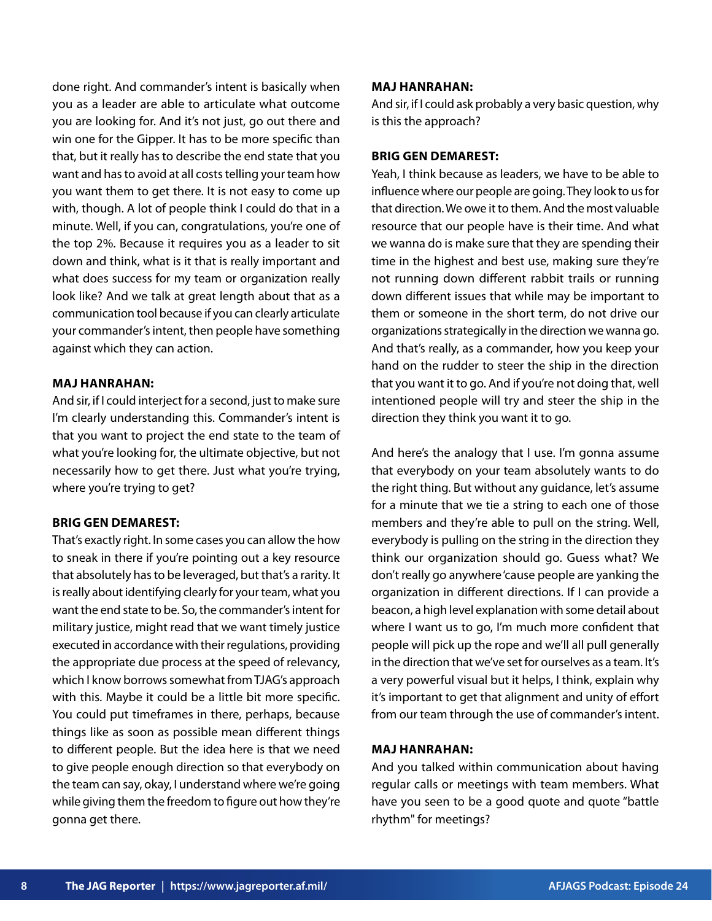done right. And commander's intent is basically when you as a leader are able to articulate what outcome you are looking for. And it's not just, go out there and win one for the Gipper. It has to be more specific than that, but it really has to describe the end state that you want and has to avoid at all costs telling your team how you want them to get there. It is not easy to come up with, though. A lot of people think I could do that in a minute. Well, if you can, congratulations, you're one of the top 2%. Because it requires you as a leader to sit down and think, what is it that is really important and what does success for my team or organization really look like? And we talk at great length about that as a communication tool because if you can clearly articulate your commander's intent, then people have something against which they can action.

## **MAJ HANRAHAN:**

And sir, if I could interject for a second, just to make sure I'm clearly understanding this. Commander's intent is that you want to project the end state to the team of what you're looking for, the ultimate objective, but not necessarily how to get there. Just what you're trying, where you're trying to get?

#### **BRIG GEN DEMAREST:**

That's exactly right. In some cases you can allow the how to sneak in there if you're pointing out a key resource that absolutely has to be leveraged, but that's a rarity. It is really about identifying clearly for your team, what you want the end state to be. So, the commander's intent for military justice, might read that we want timely justice executed in accordance with their regulations, providing the appropriate due process at the speed of relevancy, which I know borrows somewhat from TJAG's approach with this. Maybe it could be a little bit more specific. You could put timeframes in there, perhaps, because things like as soon as possible mean different things to different people. But the idea here is that we need to give people enough direction so that everybody on the team can say, okay, I understand where we're going while giving them the freedom to figure out how they're gonna get there.

#### **MAJ HANRAHAN:**

And sir, if I could ask probably a very basic question, why is this the approach?

## **BRIG GEN DEMAREST:**

Yeah, I think because as leaders, we have to be able to influence where our people are going. They look to us for that direction. We owe it to them. And the most valuable resource that our people have is their time. And what we wanna do is make sure that they are spending their time in the highest and best use, making sure they're not running down different rabbit trails or running down different issues that while may be important to them or someone in the short term, do not drive our organizations strategically in the direction we wanna go. And that's really, as a commander, how you keep your hand on the rudder to steer the ship in the direction that you want it to go. And if you're not doing that, well intentioned people will try and steer the ship in the direction they think you want it to go.

And here's the analogy that I use. I'm gonna assume that everybody on your team absolutely wants to do the right thing. But without any guidance, let's assume for a minute that we tie a string to each one of those members and they're able to pull on the string. Well, everybody is pulling on the string in the direction they think our organization should go. Guess what? We don't really go anywhere 'cause people are yanking the organization in different directions. If I can provide a beacon, a high level explanation with some detail about where I want us to go, I'm much more confident that people will pick up the rope and we'll all pull generally in the direction that we've set for ourselves as a team. It's a very powerful visual but it helps, I think, explain why it's important to get that alignment and unity of effort from our team through the use of commander's intent.

#### **MAJ HANRAHAN:**

And you talked within communication about having regular calls or meetings with team members. What have you seen to be a good quote and quote "battle rhythm" for meetings?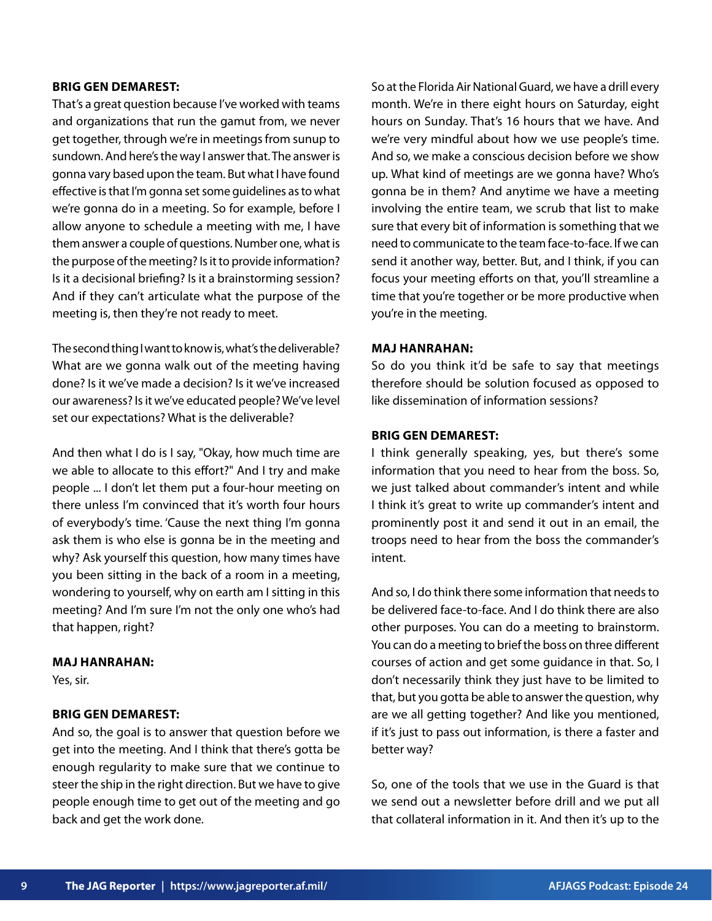#### **BRIG GEN DEMAREST:**

That's a great question because I've worked with teams and organizations that run the gamut from, we never get together, through we're in meetings from sunup to sundown. And here's the way I answer that. The answer is gonna vary based upon the team. But what I have found effective is that I'm gonna set some guidelines as to what we're gonna do in a meeting. So for example, before I allow anyone to schedule a meeting with me, I have them answer a couple of questions. Number one, what is the purpose of the meeting? Is it to provide information? Is it a decisional briefing? Is it a brainstorming session? And if they can't articulate what the purpose of the meeting is, then they're not ready to meet.

The second thing I want to know is, what's the deliverable? What are we gonna walk out of the meeting having done? Is it we've made a decision? Is it we've increased our awareness? Is it we've educated people? We've level set our expectations? What is the deliverable?

And then what I do is I say, "Okay, how much time are we able to allocate to this effort?" And I try and make people ... I don't let them put a four-hour meeting on there unless I'm convinced that it's worth four hours of everybody's time. 'Cause the next thing I'm gonna ask them is who else is gonna be in the meeting and why? Ask yourself this question, how many times have you been sitting in the back of a room in a meeting, wondering to yourself, why on earth am I sitting in this meeting? And I'm sure I'm not the only one who's had that happen, right?

#### **MAJ HANRAHAN:**

Yes, sir.

## **BRIG GEN DEMAREST:**

And so, the goal is to answer that question before we get into the meeting. And I think that there's gotta be enough regularity to make sure that we continue to steer the ship in the right direction. But we have to give people enough time to get out of the meeting and go back and get the work done.

So at the Florida Air National Guard, we have a drill every month. We're in there eight hours on Saturday, eight hours on Sunday. That's 16 hours that we have. And we're very mindful about how we use people's time. And so, we make a conscious decision before we show up. What kind of meetings are we gonna have? Who's gonna be in them? And anytime we have a meeting involving the entire team, we scrub that list to make sure that every bit of information is something that we need to communicate to the team face-to-face. If we can send it another way, better. But, and I think, if you can focus your meeting efforts on that, you'll streamline a time that you're together or be more productive when you're in the meeting.

## **MAJ HANRAHAN:**

So do you think it'd be safe to say that meetings therefore should be solution focused as opposed to like dissemination of information sessions?

## **BRIG GEN DEMAREST:**

I think generally speaking, yes, but there's some information that you need to hear from the boss. So, we just talked about commander's intent and while I think it's great to write up commander's intent and prominently post it and send it out in an email, the troops need to hear from the boss the commander's intent.

And so, I do think there some information that needs to be delivered face-to-face. And I do think there are also other purposes. You can do a meeting to brainstorm. You can do a meeting to brief the boss on three different courses of action and get some guidance in that. So, I don't necessarily think they just have to be limited to that, but you gotta be able to answer the question, why are we all getting together? And like you mentioned, if it's just to pass out information, is there a faster and better way?

So, one of the tools that we use in the Guard is that we send out a newsletter before drill and we put all that collateral information in it. And then it's up to the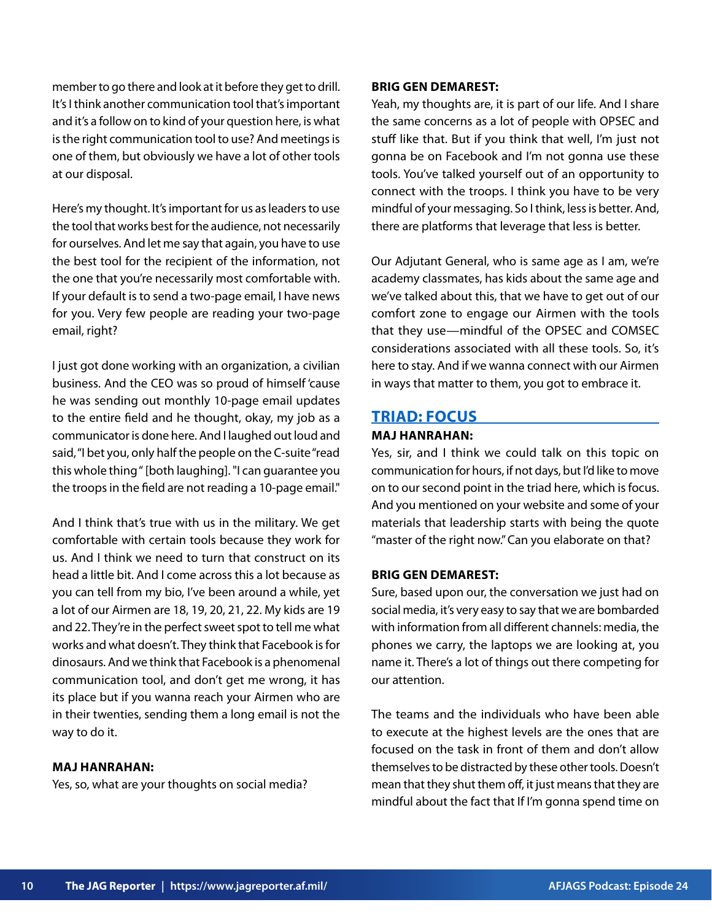member to go there and look at it before they get to drill. It's I think another communication tool that's important and it's a follow on to kind of your question here, is what is the right communication tool to use? And meetings is one of them, but obviously we have a lot of other tools at our disposal.

Here's my thought. It's important for us as leaders to use the tool that works best for the audience, not necessarily for ourselves. And let me say that again, you have to use the best tool for the recipient of the information, not the one that you're necessarily most comfortable with. If your default is to send a two-page email, I have news for you. Very few people are reading your two-page email, right?

I just got done working with an organization, a civilian business. And the CEO was so proud of himself 'cause he was sending out monthly 10-page email updates to the entire field and he thought, okay, my job as a communicator is done here. And I laughed out loud and said, "I bet you, only half the people on the C-suite "read this whole thing " [both laughing]. "I can guarantee you the troops in the field are not reading a 10-page email."

And I think that's true with us in the military. We get comfortable with certain tools because they work for us. And I think we need to turn that construct on its head a little bit. And I come across this a lot because as you can tell from my bio, I've been around a while, yet a lot of our Airmen are 18, 19, 20, 21, 22. My kids are 19 and 22. They're in the perfect sweet spot to tell me what works and what doesn't. They think that Facebook is for dinosaurs. And we think that Facebook is a phenomenal communication tool, and don't get me wrong, it has its place but if you wanna reach your Airmen who are in their twenties, sending them a long email is not the way to do it.

## **MAJ HANRAHAN:**

Yes, so, what are your thoughts on social media?

#### **BRIG GEN DEMAREST:**

Yeah, my thoughts are, it is part of our life. And I share the same concerns as a lot of people with OPSEC and stuff like that. But if you think that well, I'm just not gonna be on Facebook and I'm not gonna use these tools. You've talked yourself out of an opportunity to connect with the troops. I think you have to be very mindful of your messaging. So I think, less is better. And, there are platforms that leverage that less is better.

Our Adjutant General, who is same age as I am, we're academy classmates, has kids about the same age and we've talked about this, that we have to get out of our comfort zone to engage our Airmen with the tools that they use—mindful of the OPSEC and COMSEC considerations associated with all these tools. So, it's here to stay. And if we wanna connect with our Airmen in ways that matter to them, you got to embrace it.

## **TRIAD: FOCUS**

## **MAJ HANRAHAN:**

Yes, sir, and I think we could talk on this topic on communication for hours, if not days, but I'd like to move on to our second point in the triad here, which is focus. And you mentioned on your website and some of your materials that leadership starts with being the quote "master of the right now." Can you elaborate on that?

## **BRIG GEN DEMAREST:**

Sure, based upon our, the conversation we just had on social media, it's very easy to say that we are bombarded with information from all different channels: media, the phones we carry, the laptops we are looking at, you name it. There's a lot of things out there competing for our attention.

The teams and the individuals who have been able to execute at the highest levels are the ones that are focused on the task in front of them and don't allow themselves to be distracted by these other tools. Doesn't mean that they shut them off, it just means that they are mindful about the fact that If I'm gonna spend time on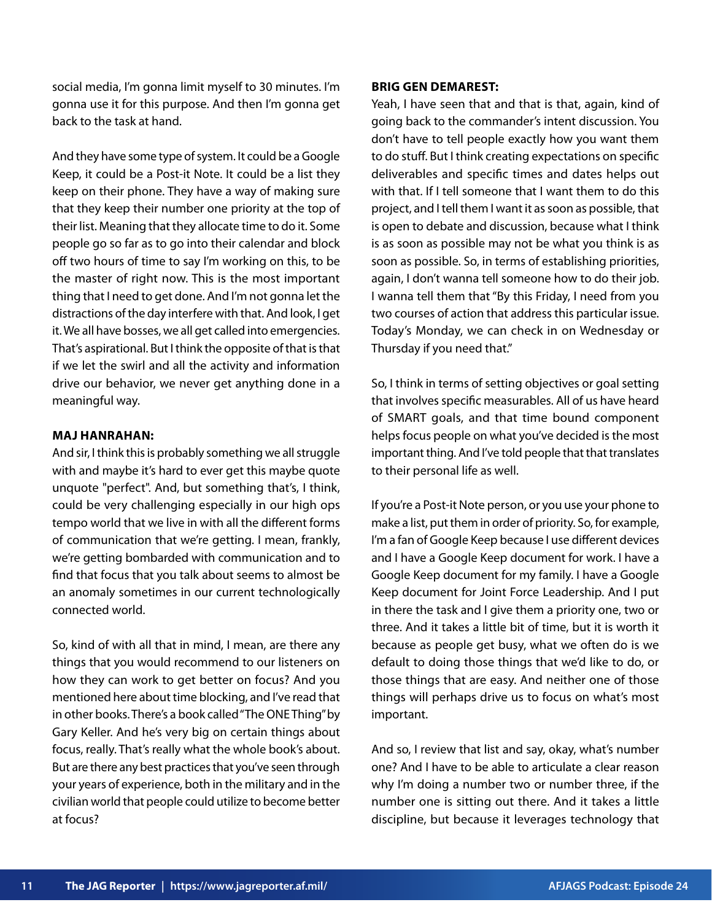social media, I'm gonna limit myself to 30 minutes. I'm gonna use it for this purpose. And then I'm gonna get back to the task at hand.

And they have some type of system. It could be a Google Keep, it could be a Post-it Note. It could be a list they keep on their phone. They have a way of making sure that they keep their number one priority at the top of their list. Meaning that they allocate time to do it. Some people go so far as to go into their calendar and block off two hours of time to say I'm working on this, to be the master of right now. This is the most important thing that I need to get done. And I'm not gonna let the distractions of the day interfere with that. And look, I get it. We all have bosses, we all get called into emergencies. That's aspirational. But I think the opposite of that is that if we let the swirl and all the activity and information drive our behavior, we never get anything done in a meaningful way.

## **MAJ HANRAHAN:**

And sir, I think this is probably something we all struggle with and maybe it's hard to ever get this maybe quote unquote "perfect". And, but something that's, I think, could be very challenging especially in our high ops tempo world that we live in with all the different forms of communication that we're getting. I mean, frankly, we're getting bombarded with communication and to find that focus that you talk about seems to almost be an anomaly sometimes in our current technologically connected world.

So, kind of with all that in mind, I mean, are there any things that you would recommend to our listeners on how they can work to get better on focus? And you mentioned here about time blocking, and I've read that in other books. There's a book called "The ONE Thing" by Gary Keller. And he's very big on certain things about focus, really. That's really what the whole book's about. But are there any best practices that you've seen through your years of experience, both in the military and in the civilian world that people could utilize to become better at focus?

#### **BRIG GEN DEMAREST:**

Yeah, I have seen that and that is that, again, kind of going back to the commander's intent discussion. You don't have to tell people exactly how you want them to do stuff. But I think creating expectations on specific deliverables and specific times and dates helps out with that. If I tell someone that I want them to do this project, and I tell them I want it as soon as possible, that is open to debate and discussion, because what I think is as soon as possible may not be what you think is as soon as possible. So, in terms of establishing priorities, again, I don't wanna tell someone how to do their job. I wanna tell them that "By this Friday, I need from you two courses of action that address this particular issue. Today's Monday, we can check in on Wednesday or Thursday if you need that."

So, I think in terms of setting objectives or goal setting that involves specific measurables. All of us have heard of SMART goals, and that time bound component helps focus people on what you've decided is the most important thing. And I've told people that that translates to their personal life as well.

If you're a Post-it Note person, or you use your phone to make a list, put them in order of priority. So, for example, I'm a fan of Google Keep because I use different devices and I have a Google Keep document for work. I have a Google Keep document for my family. I have a Google Keep document for Joint Force Leadership. And I put in there the task and I give them a priority one, two or three. And it takes a little bit of time, but it is worth it because as people get busy, what we often do is we default to doing those things that we'd like to do, or those things that are easy. And neither one of those things will perhaps drive us to focus on what's most important.

And so, I review that list and say, okay, what's number one? And I have to be able to articulate a clear reason why I'm doing a number two or number three, if the number one is sitting out there. And it takes a little discipline, but because it leverages technology that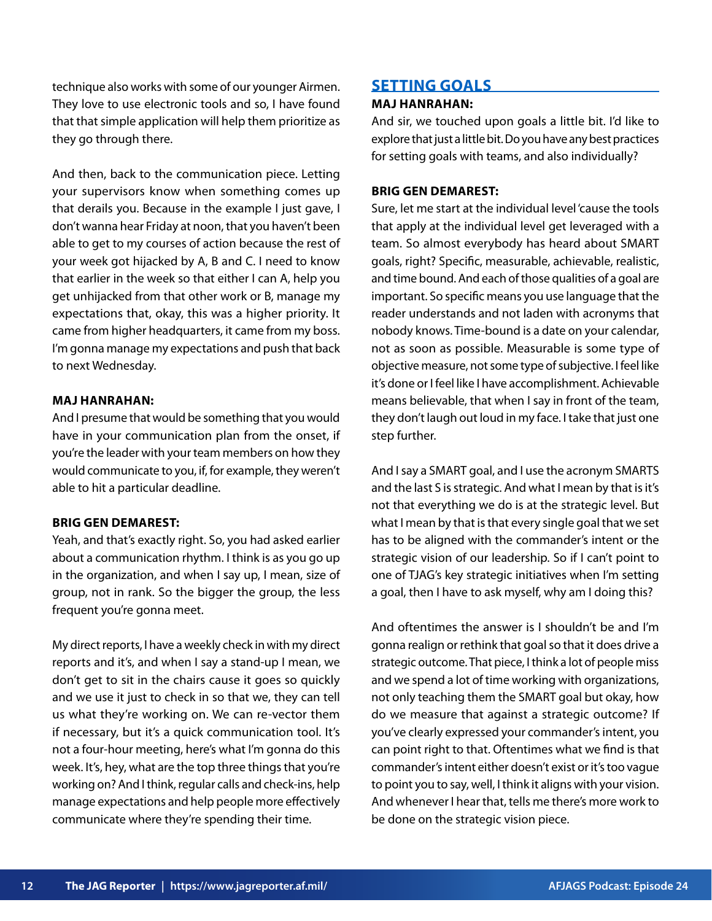technique also works with some of our younger Airmen. They love to use electronic tools and so, I have found that that simple application will help them prioritize as they go through there.

And then, back to the communication piece. Letting your supervisors know when something comes up that derails you. Because in the example I just gave, I don't wanna hear Friday at noon, that you haven't been able to get to my courses of action because the rest of your week got hijacked by A, B and C. I need to know that earlier in the week so that either I can A, help you get unhijacked from that other work or B, manage my expectations that, okay, this was a higher priority. It came from higher headquarters, it came from my boss. I'm gonna manage my expectations and push that back to next Wednesday.

## **MAJ HANRAHAN:**

And I presume that would be something that you would have in your communication plan from the onset, if you're the leader with your team members on how they would communicate to you, if, for example, they weren't able to hit a particular deadline.

#### **BRIG GEN DEMAREST:**

Yeah, and that's exactly right. So, you had asked earlier about a communication rhythm. I think is as you go up in the organization, and when I say up, I mean, size of group, not in rank. So the bigger the group, the less frequent you're gonna meet.

My direct reports, I have a weekly check in with my direct reports and it's, and when I say a stand-up I mean, we don't get to sit in the chairs cause it goes so quickly and we use it just to check in so that we, they can tell us what they're working on. We can re-vector them if necessary, but it's a quick communication tool. It's not a four-hour meeting, here's what I'm gonna do this week. It's, hey, what are the top three things that you're working on? And I think, regular calls and check-ins, help manage expectations and help people more effectively communicate where they're spending their time.

# **SETTING GOALS**

## **MAJ HANRAHAN:**

And sir, we touched upon goals a little bit. I'd like to explore that just a little bit. Do you have any best practices for setting goals with teams, and also individually?

## **BRIG GEN DEMAREST:**

Sure, let me start at the individual level 'cause the tools that apply at the individual level get leveraged with a team. So almost everybody has heard about SMART goals, right? Specific, measurable, achievable, realistic, and time bound. And each of those qualities of a goal are important. So specific means you use language that the reader understands and not laden with acronyms that nobody knows. Time-bound is a date on your calendar, not as soon as possible. Measurable is some type of objective measure, not some type of subjective. I feel like it's done or I feel like I have accomplishment. Achievable means believable, that when I say in front of the team, they don't laugh out loud in my face. I take that just one step further.

And I say a SMART goal, and I use the acronym SMARTS and the last S is strategic. And what I mean by that is it's not that everything we do is at the strategic level. But what I mean by that is that every single goal that we set has to be aligned with the commander's intent or the strategic vision of our leadership. So if I can't point to one of TJAG's key strategic initiatives when I'm setting a goal, then I have to ask myself, why am I doing this?

And oftentimes the answer is I shouldn't be and I'm gonna realign or rethink that goal so that it does drive a strategic outcome. That piece, I think a lot of people miss and we spend a lot of time working with organizations, not only teaching them the SMART goal but okay, how do we measure that against a strategic outcome? If you've clearly expressed your commander's intent, you can point right to that. Oftentimes what we find is that commander's intent either doesn't exist or it's too vague to point you to say, well, I think it aligns with your vision. And whenever I hear that, tells me there's more work to be done on the strategic vision piece.